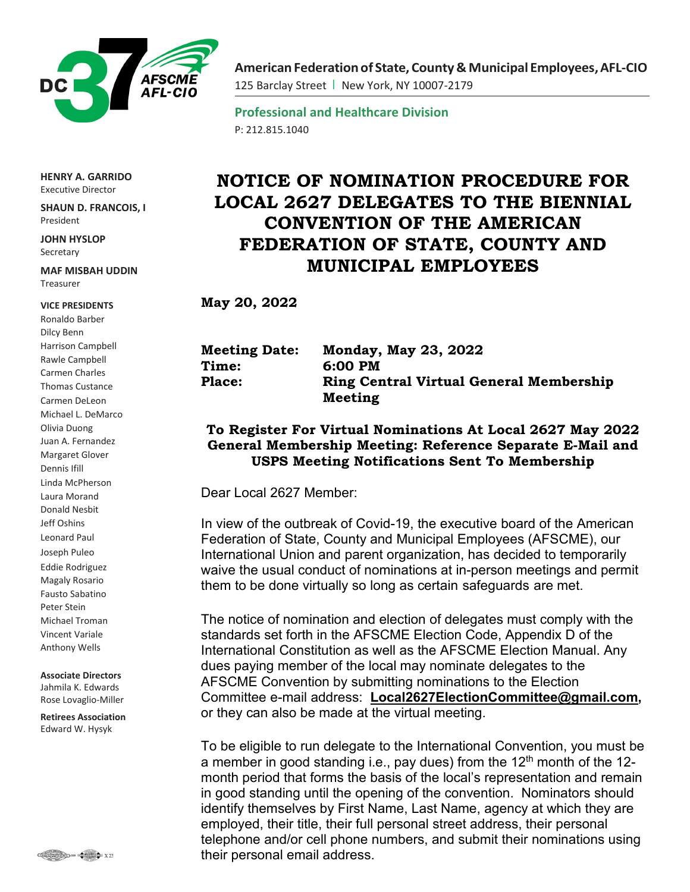

**HENRY A. GARRIDO** Executive Director

**SHAUN D. FRANCOIS, I** President

**JOHN HYSLOP** Secretary

**MAF MISBAH UDDIN** Treasurer

## **VICE PRESIDENTS**

Ronaldo Barber Dilcy Benn Harrison Campbell Rawle Campbell Carmen Charles Thomas Custance Carmen DeLeon Michael L. DeMarco Olivia Duong Juan A. Fernandez Margaret Glover Dennis Ifill Linda McPherson Laura Morand Donald Nesbit Jeff Oshins Leonard Paul Joseph Puleo Eddie Rodriguez Magaly Rosario Fausto Sabatino Peter Stein Michael Troman Vincent Variale Anthony Wells

## **Associate Directors** Jahmila K. Edwards Rose Lovaglio-Miller

**Retirees Association** Edward W. Hysyk



**AmericanFederationof State,County& Municipal Employees,AFL-CIO** 125 Barclay Street | New York, NY 10007-2179

**Professional and Healthcare Division** P: 212.815.1040

## **NOTICE OF NOMINATION PROCEDURE FOR LOCAL 2627 DELEGATES TO THE BIENNIAL CONVENTION OF THE AMERICAN FEDERATION OF STATE, COUNTY AND MUNICIPAL EMPLOYEES**

**May 20, 2022**

| <b>Meeting Date:</b> | <b>Monday, May 23, 2022</b>                    |
|----------------------|------------------------------------------------|
| <b>Time:</b>         | 6:00 PM                                        |
| <b>Place:</b>        | <b>Ring Central Virtual General Membership</b> |
|                      | <b>Meeting</b>                                 |

## **To Register For Virtual Nominations At Local 2627 May 2022 General Membership Meeting: Reference Separate E-Mail and USPS Meeting Notifications Sent To Membership**

Dear Local 2627 Member:

In view of the outbreak of Covid-19, the executive board of the American Federation of State, County and Municipal Employees (AFSCME), our International Union and parent organization, has decided to temporarily waive the usual conduct of nominations at in-person meetings and permit them to be done virtually so long as certain safeguards are met.

The notice of nomination and election of delegates must comply with the standards set forth in the AFSCME Election Code, Appendix D of the International Constitution as well as the AFSCME Election Manual. Any dues paying member of the local may nominate delegates to the AFSCME Convention by submitting nominations to the Election Committee e-mail address: **[Local2627ElectionCommittee@gmail.com,](mailto:Local2627ElectionCommittee@gmail.com)** or they can also be made at the virtual meeting.

To be eligible to run delegate to the International Convention, you must be a member in good standing i.e., pay dues) from the 12<sup>th</sup> month of the 12month period that forms the basis of the local's representation and remain in good standing until the opening of the convention. Nominators should identify themselves by First Name, Last Name, agency at which they are employed, their title, their full personal street address, their personal telephone and/or cell phone numbers, and submit their nominations using their personal email address.